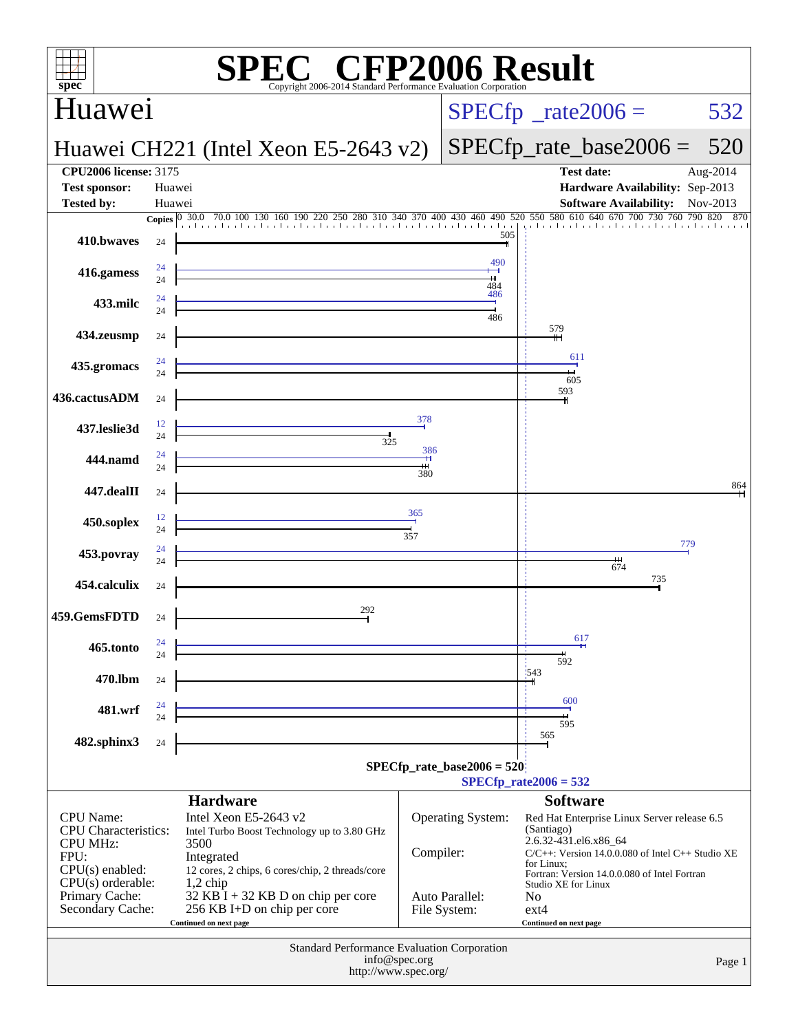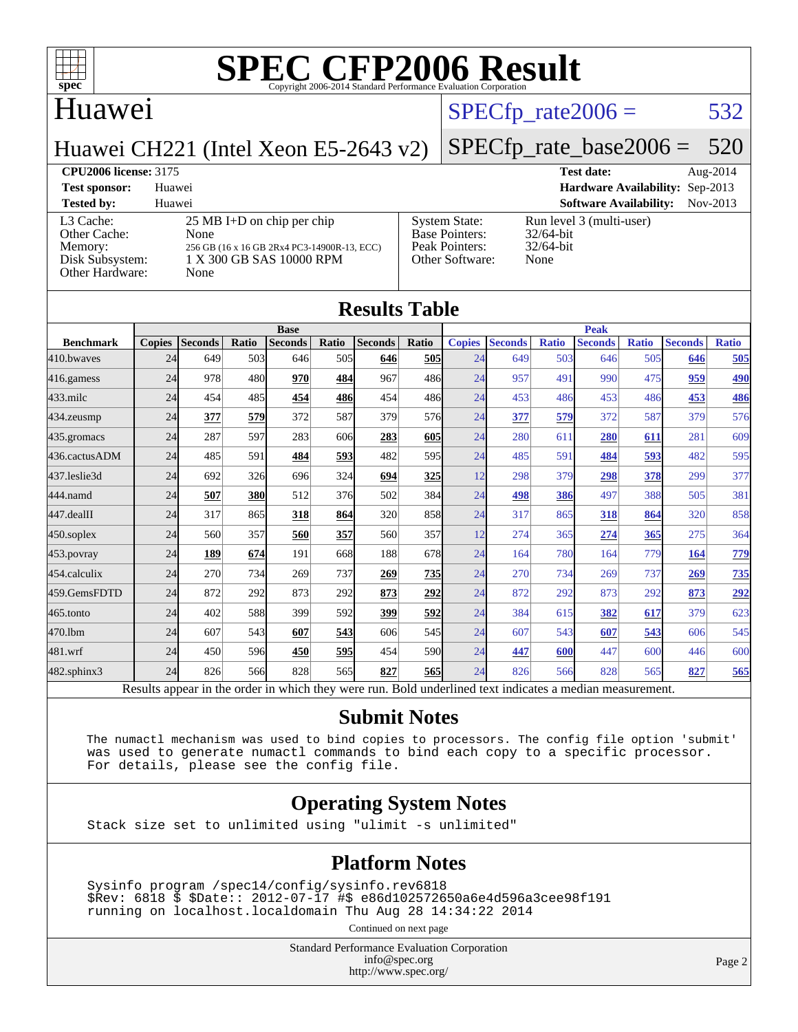

## Huawei

#### $SPECTp_rate2006 = 532$

Huawei CH221 (Intel Xeon E5-2643 v2)

## [SPECfp\\_rate\\_base2006 =](http://www.spec.org/auto/cpu2006/Docs/result-fields.html#SPECfpratebase2006) 520

**[CPU2006 license:](http://www.spec.org/auto/cpu2006/Docs/result-fields.html#CPU2006license)** 3175 **[Test date:](http://www.spec.org/auto/cpu2006/Docs/result-fields.html#Testdate)** Aug-2014 **[Test sponsor:](http://www.spec.org/auto/cpu2006/Docs/result-fields.html#Testsponsor)** Huawei **[Hardware Availability:](http://www.spec.org/auto/cpu2006/Docs/result-fields.html#HardwareAvailability)** Sep-2013 **[Tested by:](http://www.spec.org/auto/cpu2006/Docs/result-fields.html#Testedby)** Huawei **[Software Availability:](http://www.spec.org/auto/cpu2006/Docs/result-fields.html#SoftwareAvailability)** Nov-2013 [L3 Cache:](http://www.spec.org/auto/cpu2006/Docs/result-fields.html#L3Cache) 25 MB I+D on chip per chip<br>Other Cache: None [Other Cache:](http://www.spec.org/auto/cpu2006/Docs/result-fields.html#OtherCache) [Memory:](http://www.spec.org/auto/cpu2006/Docs/result-fields.html#Memory) 256 GB (16 x 16 GB 2Rx4 PC3-14900R-13, ECC) [Disk Subsystem:](http://www.spec.org/auto/cpu2006/Docs/result-fields.html#DiskSubsystem) 1 X 300 GB SAS 10000 RPM [Other Hardware:](http://www.spec.org/auto/cpu2006/Docs/result-fields.html#OtherHardware) None [System State:](http://www.spec.org/auto/cpu2006/Docs/result-fields.html#SystemState) Run level 3 (multi-user)<br>Base Pointers: 32/64-bit [Base Pointers:](http://www.spec.org/auto/cpu2006/Docs/result-fields.html#BasePointers) [Peak Pointers:](http://www.spec.org/auto/cpu2006/Docs/result-fields.html#PeakPointers) 32/64-bit [Other Software:](http://www.spec.org/auto/cpu2006/Docs/result-fields.html#OtherSoftware) None

| <b>Results Table</b> |               |                                                                                                          |       |                |             |                |            |               |                |              |                |              |                |              |
|----------------------|---------------|----------------------------------------------------------------------------------------------------------|-------|----------------|-------------|----------------|------------|---------------|----------------|--------------|----------------|--------------|----------------|--------------|
|                      | <b>Base</b>   |                                                                                                          |       |                | <b>Peak</b> |                |            |               |                |              |                |              |                |              |
| <b>Benchmark</b>     | <b>Copies</b> | <b>Seconds</b>                                                                                           | Ratio | <b>Seconds</b> | Ratio       | <b>Seconds</b> | Ratio      | <b>Copies</b> | <b>Seconds</b> | <b>Ratio</b> | <b>Seconds</b> | <b>Ratio</b> | <b>Seconds</b> | <b>Ratio</b> |
| 410.bwayes           | 24            | 649                                                                                                      | 503   | 646            | 505         | 646            | <b>505</b> | 24            | 649            | 503          | 646            | 505          | 646            | 505          |
| 416.gamess           | 24            | 978                                                                                                      | 480   | 970            | 484         | 967            | 486        | 24            | 957            | 491          | 990            | 475          | 959            | 490          |
| 433.milc             | 24            | 454                                                                                                      | 485   | 454            | <b>486</b>  | 454            | 486        | 24            | 453            | 486          | 453            | 486          | 453            | 486          |
| 434.zeusmp           | 24            | 377                                                                                                      | 579   | 372            | 587         | 379            | 576        | 24            | 377            | 579          | 372            | 587          | 379            | 576          |
| 435.gromacs          | 24            | 287                                                                                                      | 597   | 283            | 606         | 283            | 605        | 24            | 280            | 611          | 280            | 611          | 281            | 609          |
| 436.cactusADM        | 24            | 485                                                                                                      | 591   | 484            | 593         | 482            | 595        | 24            | 485            | 591          | 484            | 593          | 482            | 595          |
| 437.leslie3d         | 24            | 692                                                                                                      | 326   | 696            | 324         | 694            | 325        | 12            | 298            | 379          | 298            | 378          | 299            | 377          |
| 444.namd             | 24            | 507                                                                                                      | 380   | 512            | 376         | 502            | 384        | 24            | 498            | 386          | 497            | 388          | 505            | 381          |
| 447.dealII           | 24            | 317                                                                                                      | 865   | 318            | 864         | 320            | 858l       | 24            | 317            | 865          | 318            | 864          | 320            | 858          |
| $450$ .soplex        | 24            | 560                                                                                                      | 357   | 560            | 357         | 560            | 357        | 12            | 274            | 365          | 274            | 365          | 275            | 364          |
| $453$ .povray        | 24            | 189                                                                                                      | 674   | 191            | 668         | 188            | 678        | 24            | 164            | 780          | 164            | 779          | 164            | 779          |
| 454.calculix         | 24            | 270                                                                                                      | 734   | 269            | 737         | 269            | <u>735</u> | 24            | 270            | 734          | 269            | 737          | 269            | 735          |
| 459.GemsFDTD         | 24            | 872                                                                                                      | 292   | 873            | 292         | 873            | 292        | 24            | 872            | 292          | 873            | 292          | 873            | <u>292</u>   |
| 465.tonto            | 24            | 402                                                                                                      | 588   | 399            | 592         | 399            | 592        | 24            | 384            | 615          | 382            | 617          | 379            | 623          |
| 470.lbm              | 24            | 607                                                                                                      | 543   | 607            | 543         | 606            | 545        | 24            | 607            | 543          | 607            | 543          | 606            | 545          |
| 481.wrf              | 24            | 450                                                                                                      | 596   | 450            | 595         | 454            | 590l       | 24            | 447            | 600          | 447            | 600          | 446            | 600          |
| 482.sphinx3          | 24            | 826                                                                                                      | 566   | 828            | 565         | 827            | <b>565</b> | 24            | 826            | 566          | 828            | 565          | 827            | 565          |
|                      |               | Results appear in the order in which they were run. Bold underlined text indicates a median measurement. |       |                |             |                |            |               |                |              |                |              |                |              |

#### **[Submit Notes](http://www.spec.org/auto/cpu2006/Docs/result-fields.html#SubmitNotes)**

 The numactl mechanism was used to bind copies to processors. The config file option 'submit' was used to generate numactl commands to bind each copy to a specific processor. For details, please see the config file.

#### **[Operating System Notes](http://www.spec.org/auto/cpu2006/Docs/result-fields.html#OperatingSystemNotes)**

Stack size set to unlimited using "ulimit -s unlimited"

#### **[Platform Notes](http://www.spec.org/auto/cpu2006/Docs/result-fields.html#PlatformNotes)**

 Sysinfo program /spec14/config/sysinfo.rev6818 \$Rev: 6818 \$ \$Date:: 2012-07-17 #\$ e86d102572650a6e4d596a3cee98f191 running on localhost.localdomain Thu Aug 28 14:34:22 2014

Continued on next page

Standard Performance Evaluation Corporation [info@spec.org](mailto:info@spec.org) <http://www.spec.org/>

Page 2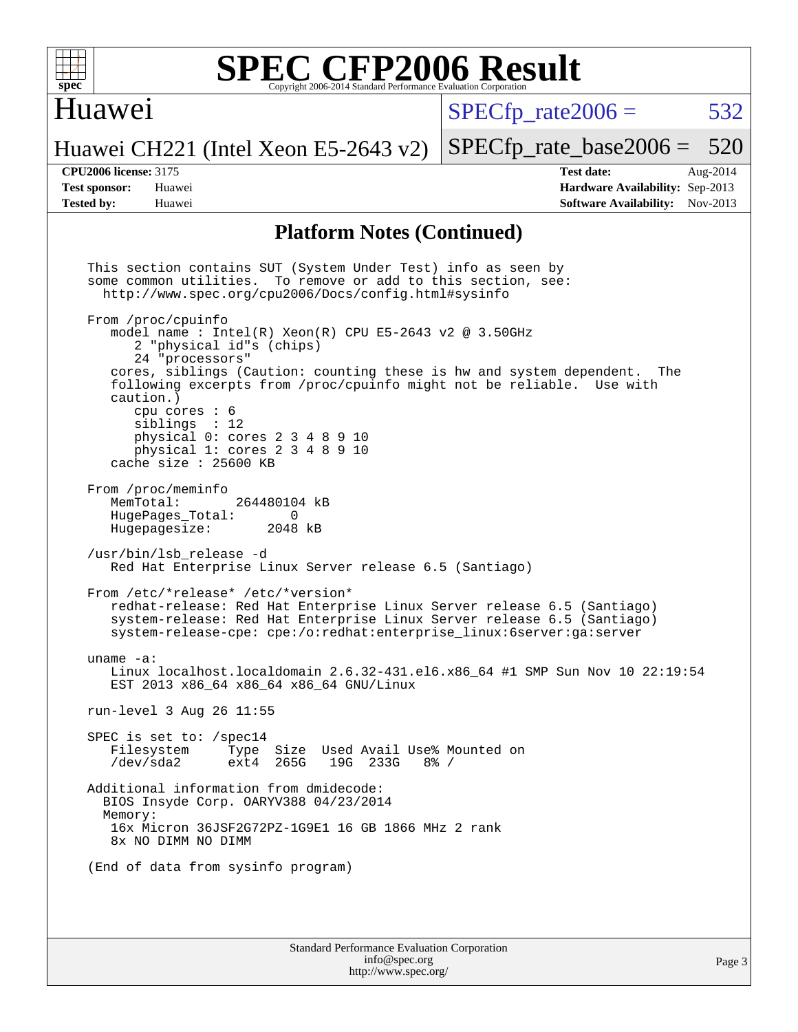

#### Huawei

 $SPECTp\_rate2006 = 532$ 

[SPECfp\\_rate\\_base2006 =](http://www.spec.org/auto/cpu2006/Docs/result-fields.html#SPECfpratebase2006) 520

#### Huawei CH221 (Intel Xeon E5-2643 v2)

**[CPU2006 license:](http://www.spec.org/auto/cpu2006/Docs/result-fields.html#CPU2006license)** 3175 **[Test date:](http://www.spec.org/auto/cpu2006/Docs/result-fields.html#Testdate)** Aug-2014 **[Test sponsor:](http://www.spec.org/auto/cpu2006/Docs/result-fields.html#Testsponsor)** Huawei **[Hardware Availability:](http://www.spec.org/auto/cpu2006/Docs/result-fields.html#HardwareAvailability)** Sep-2013 **[Tested by:](http://www.spec.org/auto/cpu2006/Docs/result-fields.html#Testedby)** Huawei **[Software Availability:](http://www.spec.org/auto/cpu2006/Docs/result-fields.html#SoftwareAvailability)** Nov-2013

#### **[Platform Notes \(Continued\)](http://www.spec.org/auto/cpu2006/Docs/result-fields.html#PlatformNotes)**

Standard Performance Evaluation Corporation This section contains SUT (System Under Test) info as seen by some common utilities. To remove or add to this section, see: <http://www.spec.org/cpu2006/Docs/config.html#sysinfo> From /proc/cpuinfo model name : Intel $(R)$  Xeon $(R)$  CPU E5-2643 v2 @ 3.50GHz 2 "physical id"s (chips) 24 "processors" cores, siblings (Caution: counting these is hw and system dependent. The following excerpts from /proc/cpuinfo might not be reliable. Use with caution.) cpu cores : 6 siblings : 12 physical 0: cores 2 3 4 8 9 10 physical 1: cores 2 3 4 8 9 10 cache size : 25600 KB From /proc/meminfo<br>MemTotal: 264480104 kB HugePages\_Total: 0<br>Hugepagesize: 2048 kB Hugepagesize: /usr/bin/lsb\_release -d Red Hat Enterprise Linux Server release 6.5 (Santiago) From /etc/\*release\* /etc/\*version\* redhat-release: Red Hat Enterprise Linux Server release 6.5 (Santiago) system-release: Red Hat Enterprise Linux Server release 6.5 (Santiago) system-release-cpe: cpe:/o:redhat:enterprise\_linux:6server:ga:server uname -a: Linux localhost.localdomain 2.6.32-431.el6.x86\_64 #1 SMP Sun Nov 10 22:19:54 EST 2013 x86\_64 x86\_64 x86\_64 GNU/Linux run-level 3 Aug 26 11:55 SPEC is set to: /spec14<br>Filesystem Type Type Size Used Avail Use% Mounted on /dev/sda2 ext4 265G 19G 233G 8% / Additional information from dmidecode: BIOS Insyde Corp. OARYV388 04/23/2014 Memory: 16x Micron 36JSF2G72PZ-1G9E1 16 GB 1866 MHz 2 rank 8x NO DIMM NO DIMM (End of data from sysinfo program)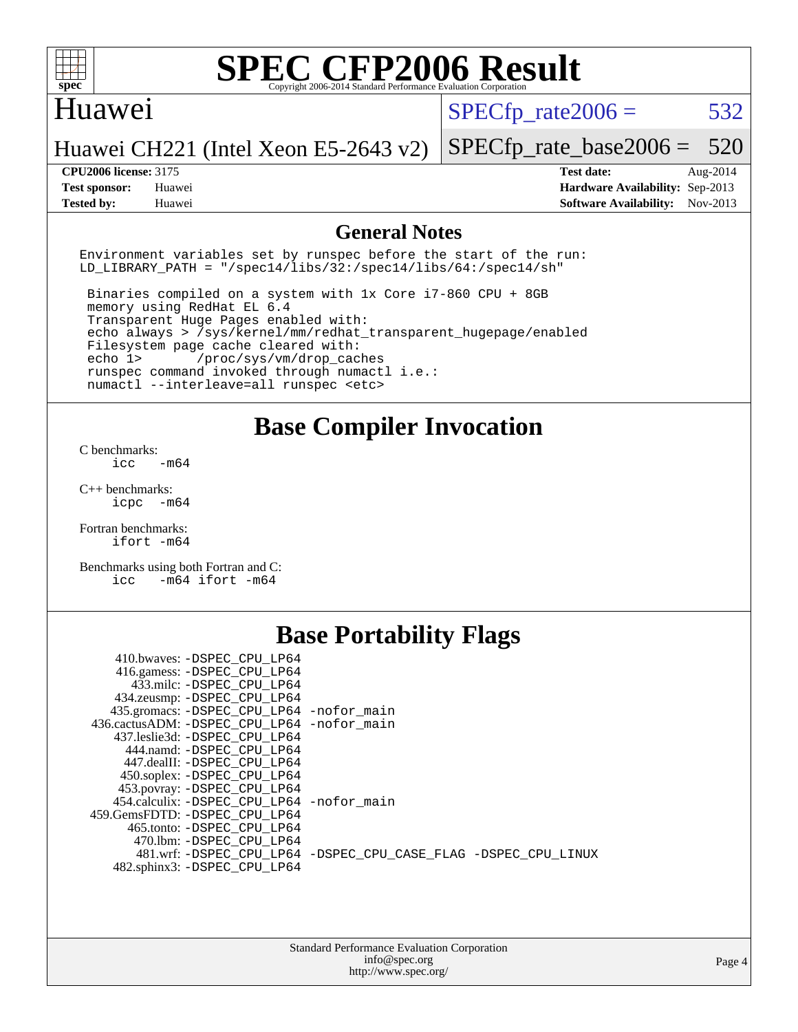

#### Huawei

 $SPECTp\_rate2006 = 532$ 

Huawei CH221 (Intel Xeon E5-2643 v2)

[SPECfp\\_rate\\_base2006 =](http://www.spec.org/auto/cpu2006/Docs/result-fields.html#SPECfpratebase2006) 520 **[CPU2006 license:](http://www.spec.org/auto/cpu2006/Docs/result-fields.html#CPU2006license)** 3175 **[Test date:](http://www.spec.org/auto/cpu2006/Docs/result-fields.html#Testdate)** Aug-2014

**[Test sponsor:](http://www.spec.org/auto/cpu2006/Docs/result-fields.html#Testsponsor)** Huawei **[Hardware Availability:](http://www.spec.org/auto/cpu2006/Docs/result-fields.html#HardwareAvailability)** Sep-2013 **[Tested by:](http://www.spec.org/auto/cpu2006/Docs/result-fields.html#Testedby)** Huawei **[Software Availability:](http://www.spec.org/auto/cpu2006/Docs/result-fields.html#SoftwareAvailability)** Nov-2013

#### **[General Notes](http://www.spec.org/auto/cpu2006/Docs/result-fields.html#GeneralNotes)**

Environment variables set by runspec before the start of the run: LD LIBRARY PATH = "/spec14/libs/32:/spec14/libs/64:/spec14/sh"

 Binaries compiled on a system with 1x Core i7-860 CPU + 8GB memory using RedHat EL 6.4 Transparent Huge Pages enabled with: echo always > /sys/kernel/mm/redhat\_transparent\_hugepage/enabled Filesystem page cache cleared with: echo 1> /proc/sys/vm/drop\_caches runspec command invoked through numactl i.e.: numactl --interleave=all runspec <etc>

**[Base Compiler Invocation](http://www.spec.org/auto/cpu2006/Docs/result-fields.html#BaseCompilerInvocation)**

[C benchmarks](http://www.spec.org/auto/cpu2006/Docs/result-fields.html#Cbenchmarks):  $\text{icc}$   $-\text{m64}$ 

[C++ benchmarks:](http://www.spec.org/auto/cpu2006/Docs/result-fields.html#CXXbenchmarks) [icpc -m64](http://www.spec.org/cpu2006/results/res2014q3/cpu2006-20140902-31145.flags.html#user_CXXbase_intel_icpc_64bit_bedb90c1146cab66620883ef4f41a67e)

[Fortran benchmarks](http://www.spec.org/auto/cpu2006/Docs/result-fields.html#Fortranbenchmarks): [ifort -m64](http://www.spec.org/cpu2006/results/res2014q3/cpu2006-20140902-31145.flags.html#user_FCbase_intel_ifort_64bit_ee9d0fb25645d0210d97eb0527dcc06e)

[Benchmarks using both Fortran and C](http://www.spec.org/auto/cpu2006/Docs/result-fields.html#BenchmarksusingbothFortranandC): [icc -m64](http://www.spec.org/cpu2006/results/res2014q3/cpu2006-20140902-31145.flags.html#user_CC_FCbase_intel_icc_64bit_0b7121f5ab7cfabee23d88897260401c) [ifort -m64](http://www.spec.org/cpu2006/results/res2014q3/cpu2006-20140902-31145.flags.html#user_CC_FCbase_intel_ifort_64bit_ee9d0fb25645d0210d97eb0527dcc06e)

## **[Base Portability Flags](http://www.spec.org/auto/cpu2006/Docs/result-fields.html#BasePortabilityFlags)**

| 410.bwaves: -DSPEC CPU LP64                 |                                                                |
|---------------------------------------------|----------------------------------------------------------------|
| 416.gamess: -DSPEC_CPU_LP64                 |                                                                |
| 433.milc: -DSPEC CPU LP64                   |                                                                |
| 434.zeusmp: - DSPEC_CPU_LP64                |                                                                |
| 435.gromacs: -DSPEC_CPU_LP64 -nofor_main    |                                                                |
| 436.cactusADM: -DSPEC CPU LP64 -nofor main  |                                                                |
| 437.leslie3d: -DSPEC CPU LP64               |                                                                |
| 444.namd: -DSPEC CPU LP64                   |                                                                |
| 447.dealII: -DSPEC CPU LP64                 |                                                                |
| 450.soplex: - DSPEC CPU LP64                |                                                                |
| 453.povray: -DSPEC_CPU_LP64                 |                                                                |
| 454.calculix: - DSPEC CPU LP64 - nofor main |                                                                |
| 459. GemsFDTD: - DSPEC CPU LP64             |                                                                |
| 465.tonto: - DSPEC CPU LP64                 |                                                                |
| 470.1bm: - DSPEC CPU LP64                   |                                                                |
|                                             | 481.wrf: -DSPEC CPU_LP64 -DSPEC_CPU_CASE_FLAG -DSPEC_CPU_LINUX |
| 482.sphinx3: -DSPEC_CPU_LP64                |                                                                |
|                                             |                                                                |

| <b>Standard Performance Evaluation Corporation</b> |
|----------------------------------------------------|
| info@spec.org                                      |
| http://www.spec.org/                               |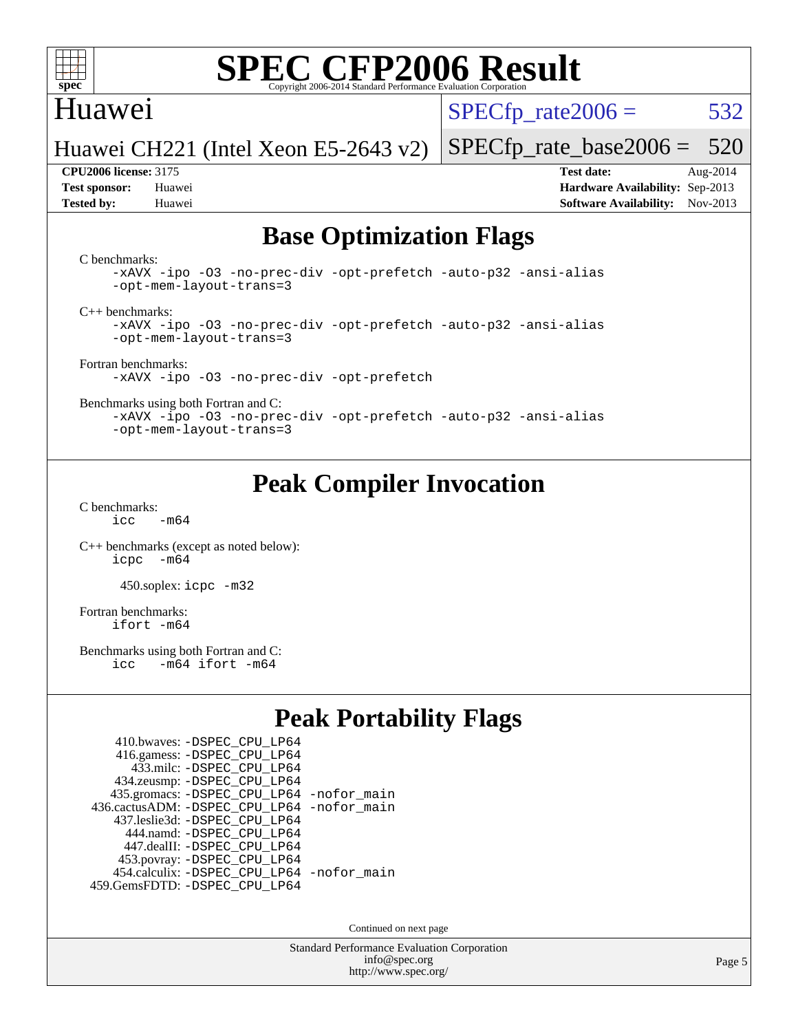

### Huawei

 $SPECTp\_rate2006 = 532$ 

Huawei CH221 (Intel Xeon E5-2643 v2)

**[Tested by:](http://www.spec.org/auto/cpu2006/Docs/result-fields.html#Testedby)** Huawei **[Software Availability:](http://www.spec.org/auto/cpu2006/Docs/result-fields.html#SoftwareAvailability)** Nov-2013

**[CPU2006 license:](http://www.spec.org/auto/cpu2006/Docs/result-fields.html#CPU2006license)** 3175 **[Test date:](http://www.spec.org/auto/cpu2006/Docs/result-fields.html#Testdate)** Aug-2014 **[Test sponsor:](http://www.spec.org/auto/cpu2006/Docs/result-fields.html#Testsponsor)** Huawei **[Hardware Availability:](http://www.spec.org/auto/cpu2006/Docs/result-fields.html#HardwareAvailability)** Sep-2013

[SPECfp\\_rate\\_base2006 =](http://www.spec.org/auto/cpu2006/Docs/result-fields.html#SPECfpratebase2006) 520

### **[Base Optimization Flags](http://www.spec.org/auto/cpu2006/Docs/result-fields.html#BaseOptimizationFlags)**

[C benchmarks](http://www.spec.org/auto/cpu2006/Docs/result-fields.html#Cbenchmarks):

[-xAVX](http://www.spec.org/cpu2006/results/res2014q3/cpu2006-20140902-31145.flags.html#user_CCbase_f-xAVX) [-ipo](http://www.spec.org/cpu2006/results/res2014q3/cpu2006-20140902-31145.flags.html#user_CCbase_f-ipo) [-O3](http://www.spec.org/cpu2006/results/res2014q3/cpu2006-20140902-31145.flags.html#user_CCbase_f-O3) [-no-prec-div](http://www.spec.org/cpu2006/results/res2014q3/cpu2006-20140902-31145.flags.html#user_CCbase_f-no-prec-div) [-opt-prefetch](http://www.spec.org/cpu2006/results/res2014q3/cpu2006-20140902-31145.flags.html#user_CCbase_f-opt-prefetch) [-auto-p32](http://www.spec.org/cpu2006/results/res2014q3/cpu2006-20140902-31145.flags.html#user_CCbase_f-auto-p32) [-ansi-alias](http://www.spec.org/cpu2006/results/res2014q3/cpu2006-20140902-31145.flags.html#user_CCbase_f-ansi-alias) [-opt-mem-layout-trans=3](http://www.spec.org/cpu2006/results/res2014q3/cpu2006-20140902-31145.flags.html#user_CCbase_f-opt-mem-layout-trans_a7b82ad4bd7abf52556d4961a2ae94d5)

[C++ benchmarks:](http://www.spec.org/auto/cpu2006/Docs/result-fields.html#CXXbenchmarks)

[-xAVX](http://www.spec.org/cpu2006/results/res2014q3/cpu2006-20140902-31145.flags.html#user_CXXbase_f-xAVX) [-ipo](http://www.spec.org/cpu2006/results/res2014q3/cpu2006-20140902-31145.flags.html#user_CXXbase_f-ipo) [-O3](http://www.spec.org/cpu2006/results/res2014q3/cpu2006-20140902-31145.flags.html#user_CXXbase_f-O3) [-no-prec-div](http://www.spec.org/cpu2006/results/res2014q3/cpu2006-20140902-31145.flags.html#user_CXXbase_f-no-prec-div) [-opt-prefetch](http://www.spec.org/cpu2006/results/res2014q3/cpu2006-20140902-31145.flags.html#user_CXXbase_f-opt-prefetch) [-auto-p32](http://www.spec.org/cpu2006/results/res2014q3/cpu2006-20140902-31145.flags.html#user_CXXbase_f-auto-p32) [-ansi-alias](http://www.spec.org/cpu2006/results/res2014q3/cpu2006-20140902-31145.flags.html#user_CXXbase_f-ansi-alias) [-opt-mem-layout-trans=3](http://www.spec.org/cpu2006/results/res2014q3/cpu2006-20140902-31145.flags.html#user_CXXbase_f-opt-mem-layout-trans_a7b82ad4bd7abf52556d4961a2ae94d5)

[Fortran benchmarks](http://www.spec.org/auto/cpu2006/Docs/result-fields.html#Fortranbenchmarks): [-xAVX](http://www.spec.org/cpu2006/results/res2014q3/cpu2006-20140902-31145.flags.html#user_FCbase_f-xAVX) [-ipo](http://www.spec.org/cpu2006/results/res2014q3/cpu2006-20140902-31145.flags.html#user_FCbase_f-ipo) [-O3](http://www.spec.org/cpu2006/results/res2014q3/cpu2006-20140902-31145.flags.html#user_FCbase_f-O3) [-no-prec-div](http://www.spec.org/cpu2006/results/res2014q3/cpu2006-20140902-31145.flags.html#user_FCbase_f-no-prec-div) [-opt-prefetch](http://www.spec.org/cpu2006/results/res2014q3/cpu2006-20140902-31145.flags.html#user_FCbase_f-opt-prefetch)

[Benchmarks using both Fortran and C](http://www.spec.org/auto/cpu2006/Docs/result-fields.html#BenchmarksusingbothFortranandC):

[-xAVX](http://www.spec.org/cpu2006/results/res2014q3/cpu2006-20140902-31145.flags.html#user_CC_FCbase_f-xAVX) [-ipo](http://www.spec.org/cpu2006/results/res2014q3/cpu2006-20140902-31145.flags.html#user_CC_FCbase_f-ipo) [-O3](http://www.spec.org/cpu2006/results/res2014q3/cpu2006-20140902-31145.flags.html#user_CC_FCbase_f-O3) [-no-prec-div](http://www.spec.org/cpu2006/results/res2014q3/cpu2006-20140902-31145.flags.html#user_CC_FCbase_f-no-prec-div) [-opt-prefetch](http://www.spec.org/cpu2006/results/res2014q3/cpu2006-20140902-31145.flags.html#user_CC_FCbase_f-opt-prefetch) [-auto-p32](http://www.spec.org/cpu2006/results/res2014q3/cpu2006-20140902-31145.flags.html#user_CC_FCbase_f-auto-p32) [-ansi-alias](http://www.spec.org/cpu2006/results/res2014q3/cpu2006-20140902-31145.flags.html#user_CC_FCbase_f-ansi-alias) [-opt-mem-layout-trans=3](http://www.spec.org/cpu2006/results/res2014q3/cpu2006-20140902-31145.flags.html#user_CC_FCbase_f-opt-mem-layout-trans_a7b82ad4bd7abf52556d4961a2ae94d5)

## **[Peak Compiler Invocation](http://www.spec.org/auto/cpu2006/Docs/result-fields.html#PeakCompilerInvocation)**

[C benchmarks](http://www.spec.org/auto/cpu2006/Docs/result-fields.html#Cbenchmarks):  $icc$   $-m64$ 

[C++ benchmarks \(except as noted below\):](http://www.spec.org/auto/cpu2006/Docs/result-fields.html#CXXbenchmarksexceptasnotedbelow) [icpc -m64](http://www.spec.org/cpu2006/results/res2014q3/cpu2006-20140902-31145.flags.html#user_CXXpeak_intel_icpc_64bit_bedb90c1146cab66620883ef4f41a67e)

450.soplex: [icpc -m32](http://www.spec.org/cpu2006/results/res2014q3/cpu2006-20140902-31145.flags.html#user_peakCXXLD450_soplex_intel_icpc_4e5a5ef1a53fd332b3c49e69c3330699)

[Fortran benchmarks](http://www.spec.org/auto/cpu2006/Docs/result-fields.html#Fortranbenchmarks): [ifort -m64](http://www.spec.org/cpu2006/results/res2014q3/cpu2006-20140902-31145.flags.html#user_FCpeak_intel_ifort_64bit_ee9d0fb25645d0210d97eb0527dcc06e)

[Benchmarks using both Fortran and C](http://www.spec.org/auto/cpu2006/Docs/result-fields.html#BenchmarksusingbothFortranandC):<br>icc -m64 ifort -m64  $-m64$  ifort  $-m64$ 

## **[Peak Portability Flags](http://www.spec.org/auto/cpu2006/Docs/result-fields.html#PeakPortabilityFlags)**

| 410.bwaves: - DSPEC CPU LP64                |  |
|---------------------------------------------|--|
| 416.gamess: -DSPEC_CPU_LP64                 |  |
| 433.milc: - DSPEC_CPU LP64                  |  |
| 434.zeusmp: -DSPEC_CPU_LP64                 |  |
| 435.gromacs: -DSPEC_CPU_LP64 -nofor_main    |  |
| 436.cactusADM: -DSPEC CPU LP64 -nofor main  |  |
| 437.leslie3d: -DSPEC CPU LP64               |  |
| 444.namd: - DSPEC CPU LP64                  |  |
| 447.dealII: -DSPEC CPU LP64                 |  |
| 453.povray: -DSPEC_CPU_LP64                 |  |
| 454.calculix: - DSPEC CPU LP64 - nofor main |  |
| 459.GemsFDTD: - DSPEC_CPU_LP64              |  |

Continued on next page

Standard Performance Evaluation Corporation [info@spec.org](mailto:info@spec.org) <http://www.spec.org/>

Page 5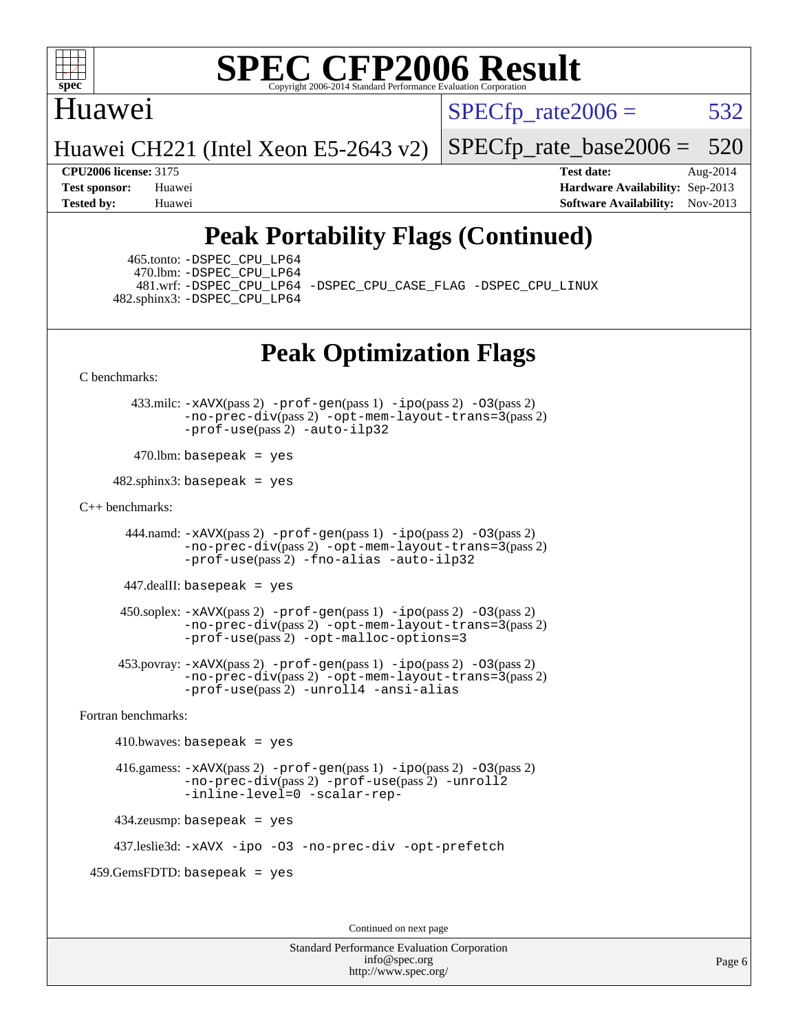

### Huawei

 $SPECTp\_rate2006 = 532$ 

Huawei CH221 (Intel Xeon E5-2643 v2)

[SPECfp\\_rate\\_base2006 =](http://www.spec.org/auto/cpu2006/Docs/result-fields.html#SPECfpratebase2006) 520

**[CPU2006 license:](http://www.spec.org/auto/cpu2006/Docs/result-fields.html#CPU2006license)** 3175 **[Test date:](http://www.spec.org/auto/cpu2006/Docs/result-fields.html#Testdate)** Aug-2014 **[Test sponsor:](http://www.spec.org/auto/cpu2006/Docs/result-fields.html#Testsponsor)** Huawei **[Hardware Availability:](http://www.spec.org/auto/cpu2006/Docs/result-fields.html#HardwareAvailability)** Sep-2013 **[Tested by:](http://www.spec.org/auto/cpu2006/Docs/result-fields.html#Testedby)** Huawei **[Software Availability:](http://www.spec.org/auto/cpu2006/Docs/result-fields.html#SoftwareAvailability)** Nov-2013

# **[Peak Portability Flags \(Continued\)](http://www.spec.org/auto/cpu2006/Docs/result-fields.html#PeakPortabilityFlags)**

 465.tonto: [-DSPEC\\_CPU\\_LP64](http://www.spec.org/cpu2006/results/res2014q3/cpu2006-20140902-31145.flags.html#suite_peakPORTABILITY465_tonto_DSPEC_CPU_LP64) 470.lbm: [-DSPEC\\_CPU\\_LP64](http://www.spec.org/cpu2006/results/res2014q3/cpu2006-20140902-31145.flags.html#suite_peakPORTABILITY470_lbm_DSPEC_CPU_LP64) 482.sphinx3: [-DSPEC\\_CPU\\_LP64](http://www.spec.org/cpu2006/results/res2014q3/cpu2006-20140902-31145.flags.html#suite_peakPORTABILITY482_sphinx3_DSPEC_CPU_LP64)

481.wrf: [-DSPEC\\_CPU\\_LP64](http://www.spec.org/cpu2006/results/res2014q3/cpu2006-20140902-31145.flags.html#suite_peakPORTABILITY481_wrf_DSPEC_CPU_LP64) [-DSPEC\\_CPU\\_CASE\\_FLAG](http://www.spec.org/cpu2006/results/res2014q3/cpu2006-20140902-31145.flags.html#b481.wrf_peakCPORTABILITY_DSPEC_CPU_CASE_FLAG) [-DSPEC\\_CPU\\_LINUX](http://www.spec.org/cpu2006/results/res2014q3/cpu2006-20140902-31145.flags.html#b481.wrf_peakCPORTABILITY_DSPEC_CPU_LINUX)

## **[Peak Optimization Flags](http://www.spec.org/auto/cpu2006/Docs/result-fields.html#PeakOptimizationFlags)**

[C benchmarks](http://www.spec.org/auto/cpu2006/Docs/result-fields.html#Cbenchmarks):

 433.milc: [-xAVX](http://www.spec.org/cpu2006/results/res2014q3/cpu2006-20140902-31145.flags.html#user_peakPASS2_CFLAGSPASS2_LDFLAGS433_milc_f-xAVX)(pass 2) [-prof-gen](http://www.spec.org/cpu2006/results/res2014q3/cpu2006-20140902-31145.flags.html#user_peakPASS1_CFLAGSPASS1_LDFLAGS433_milc_prof_gen_e43856698f6ca7b7e442dfd80e94a8fc)(pass 1) [-ipo](http://www.spec.org/cpu2006/results/res2014q3/cpu2006-20140902-31145.flags.html#user_peakPASS2_CFLAGSPASS2_LDFLAGS433_milc_f-ipo)(pass 2) [-O3](http://www.spec.org/cpu2006/results/res2014q3/cpu2006-20140902-31145.flags.html#user_peakPASS2_CFLAGSPASS2_LDFLAGS433_milc_f-O3)(pass 2) [-no-prec-div](http://www.spec.org/cpu2006/results/res2014q3/cpu2006-20140902-31145.flags.html#user_peakPASS2_CFLAGSPASS2_LDFLAGS433_milc_f-no-prec-div)(pass 2) [-opt-mem-layout-trans=3](http://www.spec.org/cpu2006/results/res2014q3/cpu2006-20140902-31145.flags.html#user_peakPASS2_CFLAGS433_milc_f-opt-mem-layout-trans_a7b82ad4bd7abf52556d4961a2ae94d5)(pass 2) [-prof-use](http://www.spec.org/cpu2006/results/res2014q3/cpu2006-20140902-31145.flags.html#user_peakPASS2_CFLAGSPASS2_LDFLAGS433_milc_prof_use_bccf7792157ff70d64e32fe3e1250b55)(pass 2) [-auto-ilp32](http://www.spec.org/cpu2006/results/res2014q3/cpu2006-20140902-31145.flags.html#user_peakCOPTIMIZE433_milc_f-auto-ilp32)

 $470$ .lbm: basepeak = yes

 $482$ .sphinx3: basepeak = yes

#### [C++ benchmarks:](http://www.spec.org/auto/cpu2006/Docs/result-fields.html#CXXbenchmarks)

 444.namd: [-xAVX](http://www.spec.org/cpu2006/results/res2014q3/cpu2006-20140902-31145.flags.html#user_peakPASS2_CXXFLAGSPASS2_LDFLAGS444_namd_f-xAVX)(pass 2) [-prof-gen](http://www.spec.org/cpu2006/results/res2014q3/cpu2006-20140902-31145.flags.html#user_peakPASS1_CXXFLAGSPASS1_LDFLAGS444_namd_prof_gen_e43856698f6ca7b7e442dfd80e94a8fc)(pass 1) [-ipo](http://www.spec.org/cpu2006/results/res2014q3/cpu2006-20140902-31145.flags.html#user_peakPASS2_CXXFLAGSPASS2_LDFLAGS444_namd_f-ipo)(pass 2) [-O3](http://www.spec.org/cpu2006/results/res2014q3/cpu2006-20140902-31145.flags.html#user_peakPASS2_CXXFLAGSPASS2_LDFLAGS444_namd_f-O3)(pass 2) [-no-prec-div](http://www.spec.org/cpu2006/results/res2014q3/cpu2006-20140902-31145.flags.html#user_peakPASS2_CXXFLAGSPASS2_LDFLAGS444_namd_f-no-prec-div)(pass 2) [-opt-mem-layout-trans=3](http://www.spec.org/cpu2006/results/res2014q3/cpu2006-20140902-31145.flags.html#user_peakPASS2_CXXFLAGS444_namd_f-opt-mem-layout-trans_a7b82ad4bd7abf52556d4961a2ae94d5)(pass 2) [-prof-use](http://www.spec.org/cpu2006/results/res2014q3/cpu2006-20140902-31145.flags.html#user_peakPASS2_CXXFLAGSPASS2_LDFLAGS444_namd_prof_use_bccf7792157ff70d64e32fe3e1250b55)(pass 2) [-fno-alias](http://www.spec.org/cpu2006/results/res2014q3/cpu2006-20140902-31145.flags.html#user_peakCXXOPTIMIZE444_namd_f-no-alias_694e77f6c5a51e658e82ccff53a9e63a) [-auto-ilp32](http://www.spec.org/cpu2006/results/res2014q3/cpu2006-20140902-31145.flags.html#user_peakCXXOPTIMIZE444_namd_f-auto-ilp32)

447.dealII: basepeak = yes

 $450$ .soplex:  $-x$ AVX(pass 2)  $-p$ rof-gen(pass 1)  $-i$ po(pass 2)  $-03$ (pass 2) [-no-prec-div](http://www.spec.org/cpu2006/results/res2014q3/cpu2006-20140902-31145.flags.html#user_peakPASS2_CXXFLAGSPASS2_LDFLAGS450_soplex_f-no-prec-div)(pass 2) [-opt-mem-layout-trans=3](http://www.spec.org/cpu2006/results/res2014q3/cpu2006-20140902-31145.flags.html#user_peakPASS2_CXXFLAGS450_soplex_f-opt-mem-layout-trans_a7b82ad4bd7abf52556d4961a2ae94d5)(pass 2) [-prof-use](http://www.spec.org/cpu2006/results/res2014q3/cpu2006-20140902-31145.flags.html#user_peakPASS2_CXXFLAGSPASS2_LDFLAGS450_soplex_prof_use_bccf7792157ff70d64e32fe3e1250b55)(pass 2) [-opt-malloc-options=3](http://www.spec.org/cpu2006/results/res2014q3/cpu2006-20140902-31145.flags.html#user_peakOPTIMIZE450_soplex_f-opt-malloc-options_13ab9b803cf986b4ee62f0a5998c2238)

 453.povray: [-xAVX](http://www.spec.org/cpu2006/results/res2014q3/cpu2006-20140902-31145.flags.html#user_peakPASS2_CXXFLAGSPASS2_LDFLAGS453_povray_f-xAVX)(pass 2) [-prof-gen](http://www.spec.org/cpu2006/results/res2014q3/cpu2006-20140902-31145.flags.html#user_peakPASS1_CXXFLAGSPASS1_LDFLAGS453_povray_prof_gen_e43856698f6ca7b7e442dfd80e94a8fc)(pass 1) [-ipo](http://www.spec.org/cpu2006/results/res2014q3/cpu2006-20140902-31145.flags.html#user_peakPASS2_CXXFLAGSPASS2_LDFLAGS453_povray_f-ipo)(pass 2) [-O3](http://www.spec.org/cpu2006/results/res2014q3/cpu2006-20140902-31145.flags.html#user_peakPASS2_CXXFLAGSPASS2_LDFLAGS453_povray_f-O3)(pass 2) [-no-prec-div](http://www.spec.org/cpu2006/results/res2014q3/cpu2006-20140902-31145.flags.html#user_peakPASS2_CXXFLAGSPASS2_LDFLAGS453_povray_f-no-prec-div)(pass 2) [-opt-mem-layout-trans=3](http://www.spec.org/cpu2006/results/res2014q3/cpu2006-20140902-31145.flags.html#user_peakPASS2_CXXFLAGS453_povray_f-opt-mem-layout-trans_a7b82ad4bd7abf52556d4961a2ae94d5)(pass 2) [-prof-use](http://www.spec.org/cpu2006/results/res2014q3/cpu2006-20140902-31145.flags.html#user_peakPASS2_CXXFLAGSPASS2_LDFLAGS453_povray_prof_use_bccf7792157ff70d64e32fe3e1250b55)(pass 2) [-unroll4](http://www.spec.org/cpu2006/results/res2014q3/cpu2006-20140902-31145.flags.html#user_peakCXXOPTIMIZE453_povray_f-unroll_4e5e4ed65b7fd20bdcd365bec371b81f) [-ansi-alias](http://www.spec.org/cpu2006/results/res2014q3/cpu2006-20140902-31145.flags.html#user_peakCXXOPTIMIZE453_povray_f-ansi-alias)

[Fortran benchmarks](http://www.spec.org/auto/cpu2006/Docs/result-fields.html#Fortranbenchmarks):

 $410.bwaves: basepeak = yes$  416.gamess: [-xAVX](http://www.spec.org/cpu2006/results/res2014q3/cpu2006-20140902-31145.flags.html#user_peakPASS2_FFLAGSPASS2_LDFLAGS416_gamess_f-xAVX)(pass 2) [-prof-gen](http://www.spec.org/cpu2006/results/res2014q3/cpu2006-20140902-31145.flags.html#user_peakPASS1_FFLAGSPASS1_LDFLAGS416_gamess_prof_gen_e43856698f6ca7b7e442dfd80e94a8fc)(pass 1) [-ipo](http://www.spec.org/cpu2006/results/res2014q3/cpu2006-20140902-31145.flags.html#user_peakPASS2_FFLAGSPASS2_LDFLAGS416_gamess_f-ipo)(pass 2) [-O3](http://www.spec.org/cpu2006/results/res2014q3/cpu2006-20140902-31145.flags.html#user_peakPASS2_FFLAGSPASS2_LDFLAGS416_gamess_f-O3)(pass 2) [-no-prec-div](http://www.spec.org/cpu2006/results/res2014q3/cpu2006-20140902-31145.flags.html#user_peakPASS2_FFLAGSPASS2_LDFLAGS416_gamess_f-no-prec-div)(pass 2) [-prof-use](http://www.spec.org/cpu2006/results/res2014q3/cpu2006-20140902-31145.flags.html#user_peakPASS2_FFLAGSPASS2_LDFLAGS416_gamess_prof_use_bccf7792157ff70d64e32fe3e1250b55)(pass 2) [-unroll2](http://www.spec.org/cpu2006/results/res2014q3/cpu2006-20140902-31145.flags.html#user_peakOPTIMIZE416_gamess_f-unroll_784dae83bebfb236979b41d2422d7ec2) [-inline-level=0](http://www.spec.org/cpu2006/results/res2014q3/cpu2006-20140902-31145.flags.html#user_peakOPTIMIZE416_gamess_f-inline-level_318d07a09274ad25e8d15dbfaa68ba50) [-scalar-rep-](http://www.spec.org/cpu2006/results/res2014q3/cpu2006-20140902-31145.flags.html#user_peakOPTIMIZE416_gamess_f-disablescalarrep_abbcad04450fb118e4809c81d83c8a1d) 434.zeusmp: basepeak = yes

437.leslie3d: [-xAVX](http://www.spec.org/cpu2006/results/res2014q3/cpu2006-20140902-31145.flags.html#user_peakOPTIMIZE437_leslie3d_f-xAVX) [-ipo](http://www.spec.org/cpu2006/results/res2014q3/cpu2006-20140902-31145.flags.html#user_peakOPTIMIZE437_leslie3d_f-ipo) [-O3](http://www.spec.org/cpu2006/results/res2014q3/cpu2006-20140902-31145.flags.html#user_peakOPTIMIZE437_leslie3d_f-O3) [-no-prec-div](http://www.spec.org/cpu2006/results/res2014q3/cpu2006-20140902-31145.flags.html#user_peakOPTIMIZE437_leslie3d_f-no-prec-div) [-opt-prefetch](http://www.spec.org/cpu2006/results/res2014q3/cpu2006-20140902-31145.flags.html#user_peakOPTIMIZE437_leslie3d_f-opt-prefetch)

459.GemsFDTD: basepeak = yes

Continued on next page

Standard Performance Evaluation Corporation [info@spec.org](mailto:info@spec.org) <http://www.spec.org/>